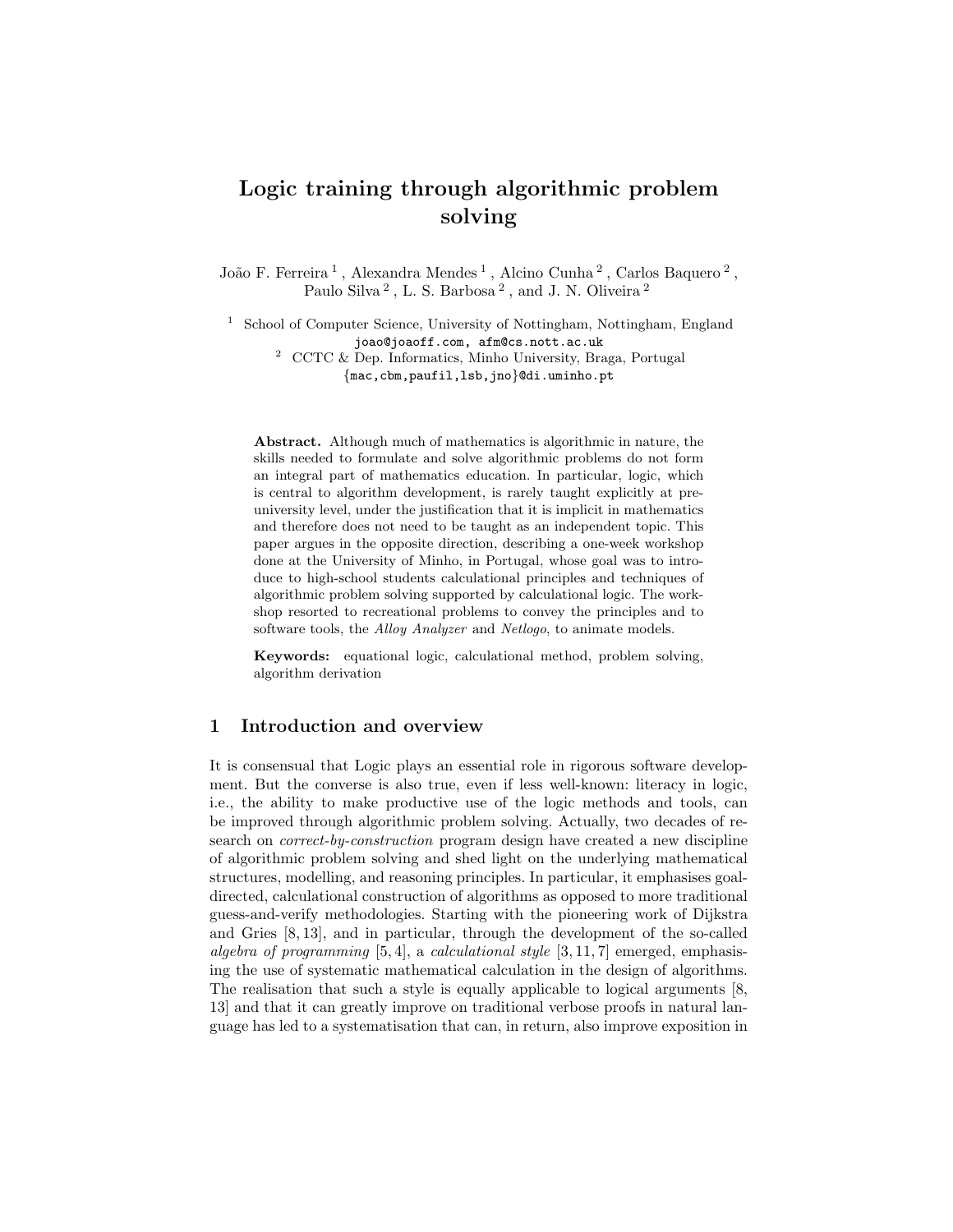# Logic training through algorithmic problem solving

João F. Ferreira $^1$ , Alexandra Mendes $^1$ , Alcino Cunha $^2$ , Carlos Baquero  $^2$ , Paulo Silva<sup>2</sup>, L. S. Barbosa<sup>2</sup>, and J. N. Oliveira<sup>2</sup>

<sup>1</sup> School of Computer Science, University of Nottingham, Nottingham, England joao@joaoff.com, afm@cs.nott.ac.uk

<sup>2</sup> CCTC & Dep. Informatics, Minho University, Braga, Portugal {mac,cbm,paufil,lsb,jno}@di.uminho.pt

Abstract. Although much of mathematics is algorithmic in nature, the skills needed to formulate and solve algorithmic problems do not form an integral part of mathematics education. In particular, logic, which is central to algorithm development, is rarely taught explicitly at preuniversity level, under the justification that it is implicit in mathematics and therefore does not need to be taught as an independent topic. This paper argues in the opposite direction, describing a one-week workshop done at the University of Minho, in Portugal, whose goal was to introduce to high-school students calculational principles and techniques of algorithmic problem solving supported by calculational logic. The workshop resorted to recreational problems to convey the principles and to software tools, the *Alloy Analyzer* and *Netlogo*, to animate models.

Keywords: equational logic, calculational method, problem solving, algorithm derivation

### 1 Introduction and overview

It is consensual that Logic plays an essential role in rigorous software development. But the converse is also true, even if less well-known: literacy in logic, i.e., the ability to make productive use of the logic methods and tools, can be improved through algorithmic problem solving. Actually, two decades of research on correct-by-construction program design have created a new discipline of algorithmic problem solving and shed light on the underlying mathematical structures, modelling, and reasoning principles. In particular, it emphasises goaldirected, calculational construction of algorithms as opposed to more traditional guess-and-verify methodologies. Starting with the pioneering work of Dijkstra and Gries [8, 13], and in particular, through the development of the so-called algebra of programming [5, 4], a calculational style [3, 11, 7] emerged, emphasising the use of systematic mathematical calculation in the design of algorithms. The realisation that such a style is equally applicable to logical arguments [8, 13] and that it can greatly improve on traditional verbose proofs in natural language has led to a systematisation that can, in return, also improve exposition in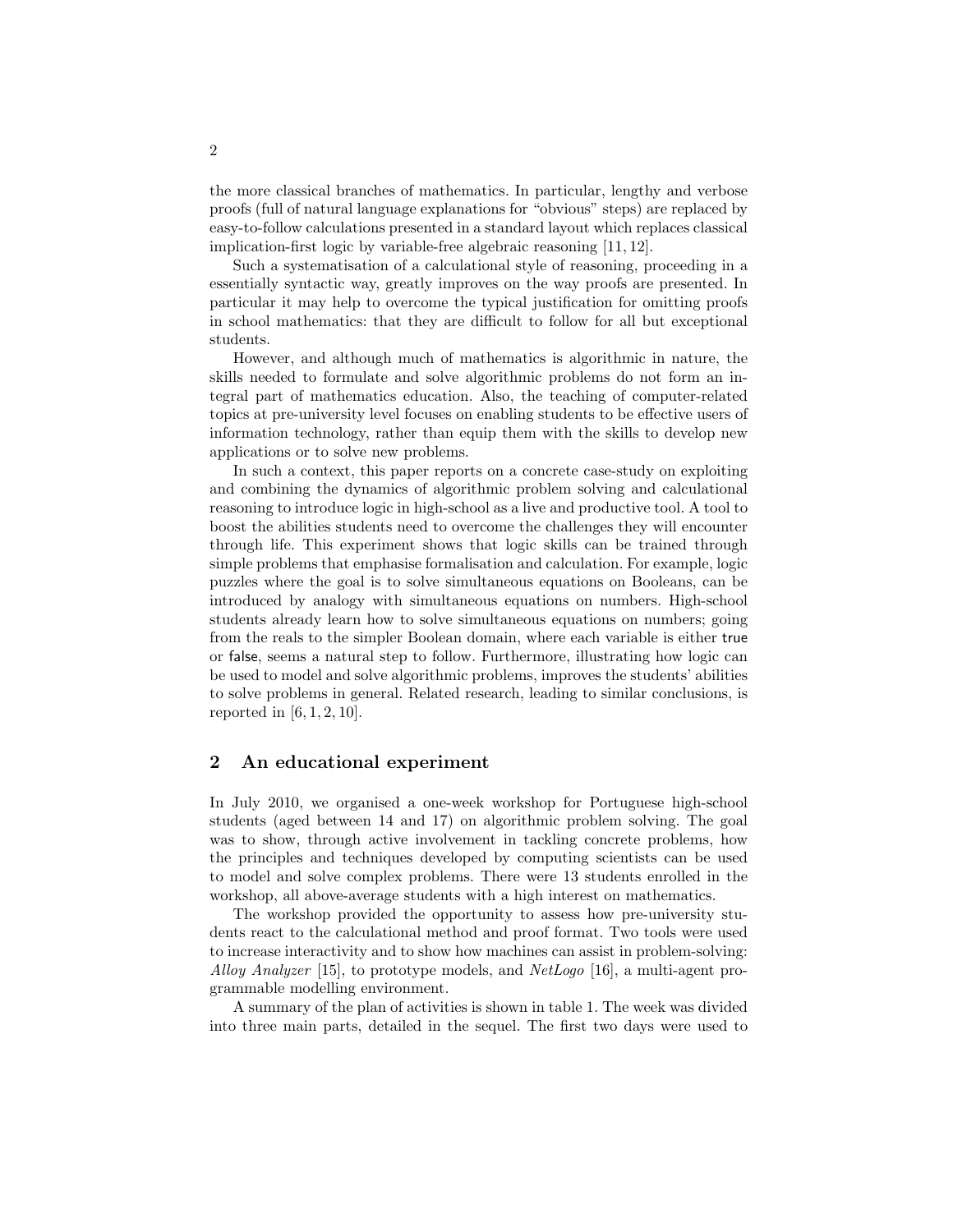the more classical branches of mathematics. In particular, lengthy and verbose proofs (full of natural language explanations for "obvious" steps) are replaced by easy-to-follow calculations presented in a standard layout which replaces classical implication-first logic by variable-free algebraic reasoning [11, 12].

Such a systematisation of a calculational style of reasoning, proceeding in a essentially syntactic way, greatly improves on the way proofs are presented. In particular it may help to overcome the typical justification for omitting proofs in school mathematics: that they are difficult to follow for all but exceptional students.

However, and although much of mathematics is algorithmic in nature, the skills needed to formulate and solve algorithmic problems do not form an integral part of mathematics education. Also, the teaching of computer-related topics at pre-university level focuses on enabling students to be effective users of information technology, rather than equip them with the skills to develop new applications or to solve new problems.

In such a context, this paper reports on a concrete case-study on exploiting and combining the dynamics of algorithmic problem solving and calculational reasoning to introduce logic in high-school as a live and productive tool. A tool to boost the abilities students need to overcome the challenges they will encounter through life. This experiment shows that logic skills can be trained through simple problems that emphasise formalisation and calculation. For example, logic puzzles where the goal is to solve simultaneous equations on Booleans, can be introduced by analogy with simultaneous equations on numbers. High-school students already learn how to solve simultaneous equations on numbers; going from the reals to the simpler Boolean domain, where each variable is either true or false, seems a natural step to follow. Furthermore, illustrating how logic can be used to model and solve algorithmic problems, improves the students' abilities to solve problems in general. Related research, leading to similar conclusions, is reported in  $[6, 1, 2, 10]$ .

## 2 An educational experiment

In July 2010, we organised a one-week workshop for Portuguese high-school students (aged between 14 and 17) on algorithmic problem solving. The goal was to show, through active involvement in tackling concrete problems, how the principles and techniques developed by computing scientists can be used to model and solve complex problems. There were 13 students enrolled in the workshop, all above-average students with a high interest on mathematics.

The workshop provided the opportunity to assess how pre-university students react to the calculational method and proof format. Two tools were used to increase interactivity and to show how machines can assist in problem-solving: Alloy Analyzer [15], to prototype models, and NetLogo [16], a multi-agent programmable modelling environment.

A summary of the plan of activities is shown in table 1. The week was divided into three main parts, detailed in the sequel. The first two days were used to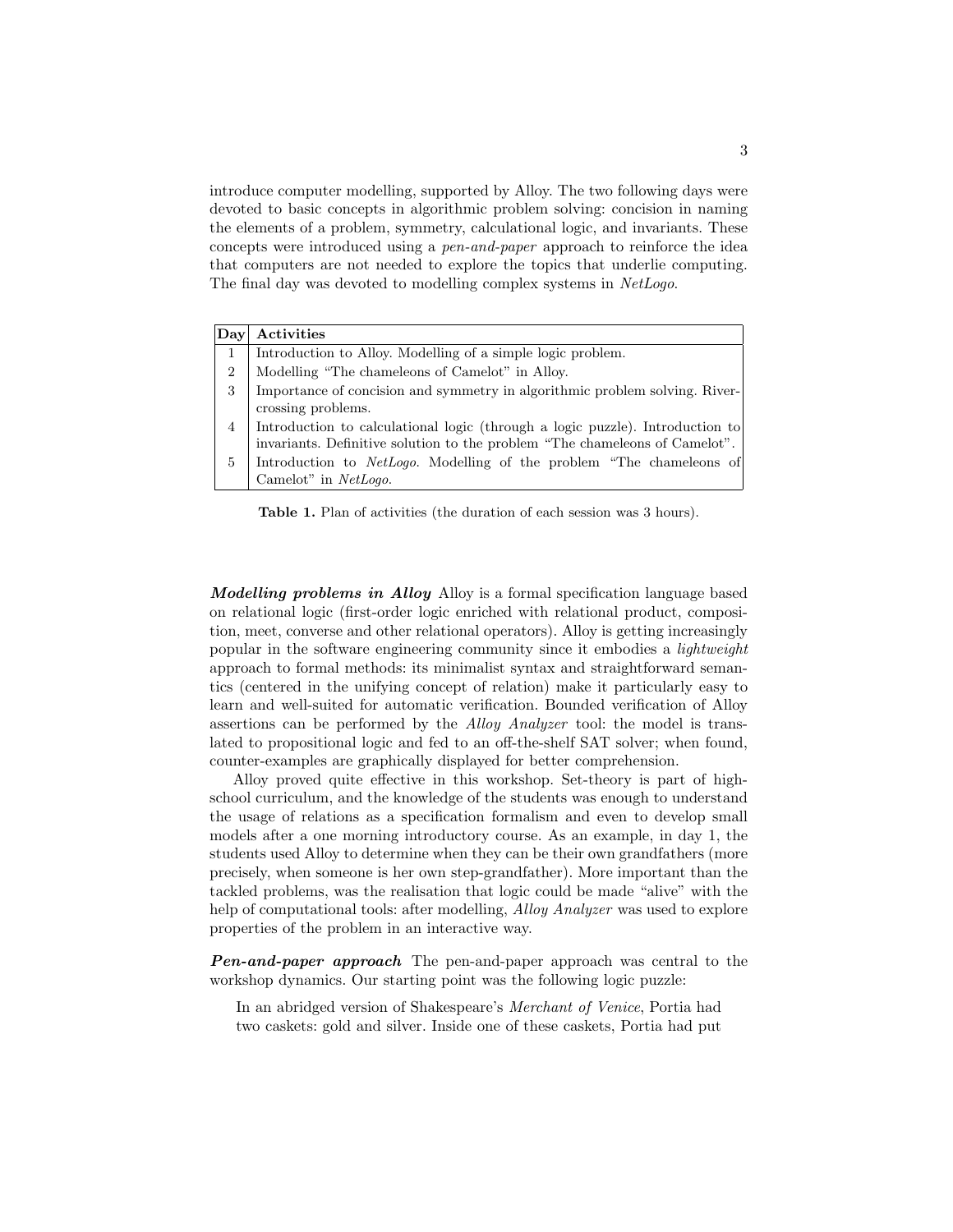introduce computer modelling, supported by Alloy. The two following days were devoted to basic concepts in algorithmic problem solving: concision in naming the elements of a problem, symmetry, calculational logic, and invariants. These concepts were introduced using a pen-and-paper approach to reinforce the idea that computers are not needed to explore the topics that underlie computing. The final day was devoted to modelling complex systems in NetLogo.

| Day            | Activities                                                                                                                                                   |
|----------------|--------------------------------------------------------------------------------------------------------------------------------------------------------------|
| 1              | Introduction to Alloy. Modelling of a simple logic problem.                                                                                                  |
| $\overline{2}$ | Modelling "The chameleons of Camelot" in Alloy.                                                                                                              |
| 3              | Importance of concision and symmetry in algorithmic problem solving. River-<br>crossing problems.                                                            |
| 4              | Introduction to calculational logic (through a logic puzzle). Introduction to<br>invariants. Definitive solution to the problem "The chameleons of Camelot". |
| 5              | Introduction to <i>NetLogo</i> . Modelling of the problem "The chameleons of<br>Camelot" in NetLogo.                                                         |

Table 1. Plan of activities (the duration of each session was 3 hours).

Modelling problems in Alloy Alloy is a formal specification language based on relational logic (first-order logic enriched with relational product, composition, meet, converse and other relational operators). Alloy is getting increasingly popular in the software engineering community since it embodies a lightweight approach to formal methods: its minimalist syntax and straightforward semantics (centered in the unifying concept of relation) make it particularly easy to learn and well-suited for automatic verification. Bounded verification of Alloy assertions can be performed by the Alloy Analyzer tool: the model is translated to propositional logic and fed to an off-the-shelf SAT solver; when found, counter-examples are graphically displayed for better comprehension.

Alloy proved quite effective in this workshop. Set-theory is part of highschool curriculum, and the knowledge of the students was enough to understand the usage of relations as a specification formalism and even to develop small models after a one morning introductory course. As an example, in day 1, the students used Alloy to determine when they can be their own grandfathers (more precisely, when someone is her own step-grandfather). More important than the tackled problems, was the realisation that logic could be made "alive" with the help of computational tools: after modelling, *Alloy Analyzer* was used to explore properties of the problem in an interactive way.

Pen-and-paper approach The pen-and-paper approach was central to the workshop dynamics. Our starting point was the following logic puzzle:

In an abridged version of Shakespeare's Merchant of Venice, Portia had two caskets: gold and silver. Inside one of these caskets, Portia had put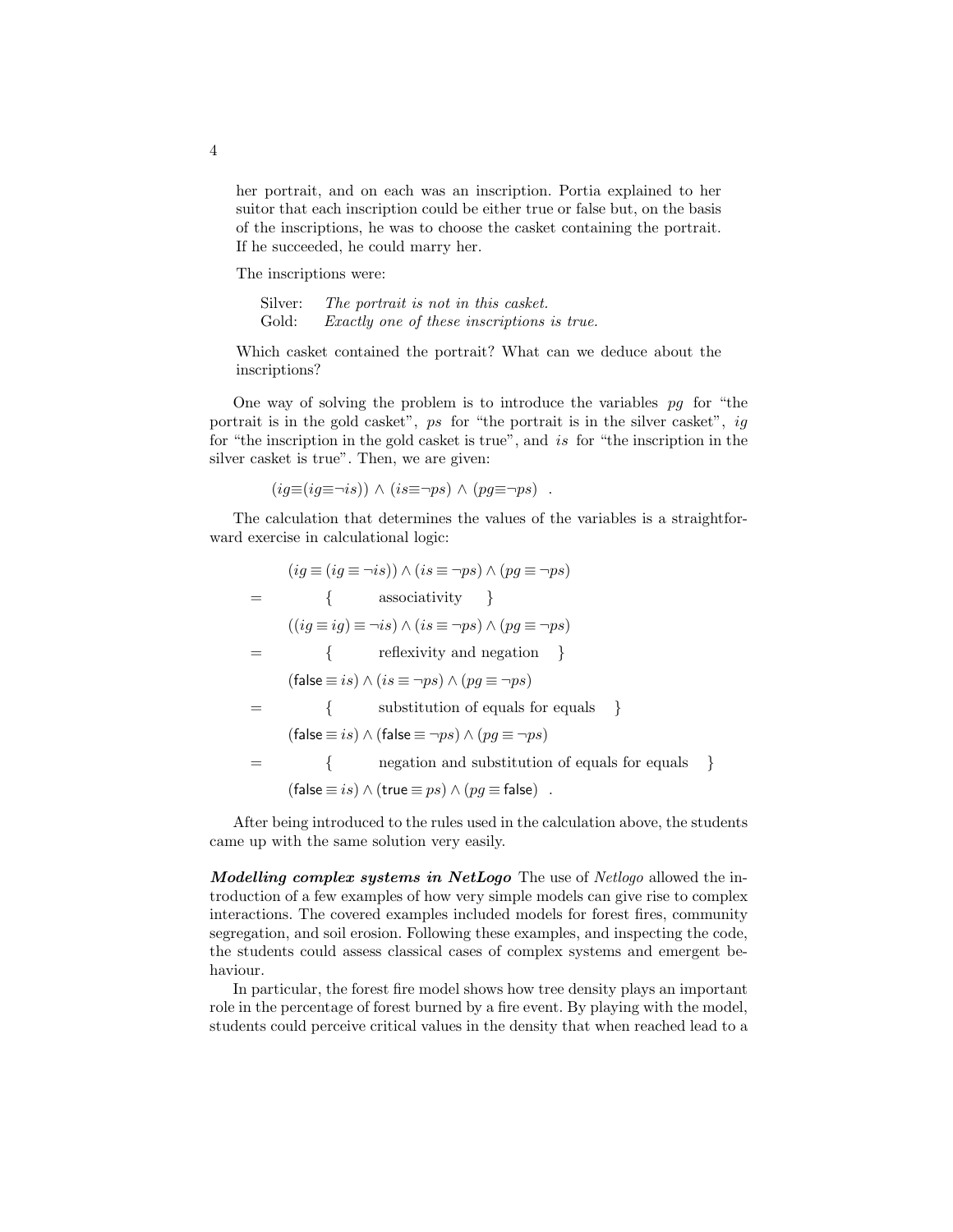her portrait, and on each was an inscription. Portia explained to her suitor that each inscription could be either true or false but, on the basis of the inscriptions, he was to choose the casket containing the portrait. If he succeeded, he could marry her.

The inscriptions were:

Silver: The portrait is not in this casket. Gold: Exactly one of these inscriptions is true.

Which casket contained the portrait? What can we deduce about the inscriptions?

One way of solving the problem is to introduce the variables pg for "the portrait is in the gold casket", ps for "the portrait is in the silver casket", ig for "the inscription in the gold casket is true", and is for "the inscription in the silver casket is true". Then, we are given:

$$
(ig \equiv (ig \equiv \neg is)) \land (is \equiv \neg ps) \land (pg \equiv \neg ps) .
$$

The calculation that determines the values of the variables is a straightforward exercise in calculational logic:

$$
(ig \equiv (ig \equiv \neg is)) \land (is \equiv \neg ps) \land (pg \equiv \neg ps)
$$
\n
$$
= \{ \text{associativity } \}
$$
\n
$$
((ig \equiv ig) \equiv \neg is) \land (is \equiv \neg ps) \land (pg \equiv \neg ps)
$$
\n
$$
= \{ \text{reflexivity and negation } \}
$$
\n
$$
(\text{false} \equiv is) \land (is \equiv \neg ps) \land (pg \equiv \neg ps)
$$
\n
$$
= \{ \text{substitution of equals for equals } \}
$$
\n
$$
(\text{false} \equiv is) \land (\text{false} \equiv \neg ps) \land (pg \equiv \neg ps)
$$
\n
$$
= \{ \text{negation and substitution of equals for equals } \}
$$
\n
$$
(\text{false} \equiv is) \land (\text{true} \equiv ps) \land (pg \equiv \text{false}) .
$$
\n
$$
\text{for being introduced to the rules used in the calculation above, the study of the terms of the set } \{ \text{in } \text{the } s \text{ is the class } \}
$$

After being introduced to the rules used in the calculation above, the students came up with the same solution very easily.

Modelling complex systems in NetLogo The use of Netlogo allowed the introduction of a few examples of how very simple models can give rise to complex interactions. The covered examples included models for forest fires, community segregation, and soil erosion. Following these examples, and inspecting the code, the students could assess classical cases of complex systems and emergent behaviour.

In particular, the forest fire model shows how tree density plays an important role in the percentage of forest burned by a fire event. By playing with the model, students could perceive critical values in the density that when reached lead to a

4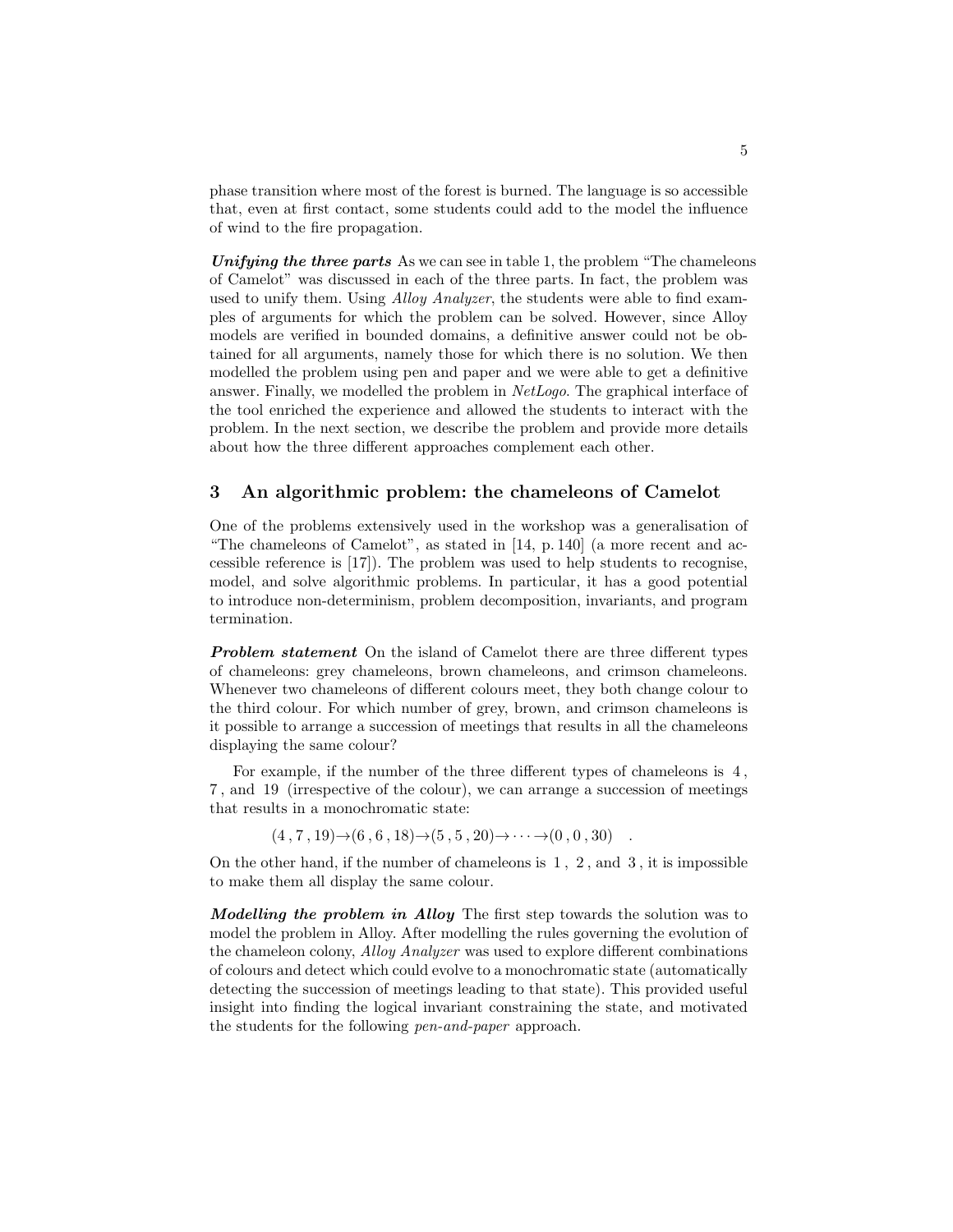phase transition where most of the forest is burned. The language is so accessible that, even at first contact, some students could add to the model the influence of wind to the fire propagation.

Unifying the three parts As we can see in table 1, the problem "The chameleons" of Camelot" was discussed in each of the three parts. In fact, the problem was used to unify them. Using *Alloy Analyzer*, the students were able to find examples of arguments for which the problem can be solved. However, since Alloy models are verified in bounded domains, a definitive answer could not be obtained for all arguments, namely those for which there is no solution. We then modelled the problem using pen and paper and we were able to get a definitive answer. Finally, we modelled the problem in NetLogo. The graphical interface of the tool enriched the experience and allowed the students to interact with the problem. In the next section, we describe the problem and provide more details about how the three different approaches complement each other.

#### 3 An algorithmic problem: the chameleons of Camelot

One of the problems extensively used in the workshop was a generalisation of "The chameleons of Camelot", as stated in [14, p. 140] (a more recent and accessible reference is [17]). The problem was used to help students to recognise, model, and solve algorithmic problems. In particular, it has a good potential to introduce non-determinism, problem decomposition, invariants, and program termination.

**Problem statement** On the island of Camelot there are three different types of chameleons: grey chameleons, brown chameleons, and crimson chameleons. Whenever two chameleons of different colours meet, they both change colour to the third colour. For which number of grey, brown, and crimson chameleons is it possible to arrange a succession of meetings that results in all the chameleons displaying the same colour?

For example, if the number of the three different types of chameleons is 4 , 7 , and 19 (irrespective of the colour), we can arrange a succession of meetings that results in a monochromatic state:

 $(4, 7, 19) \rightarrow (6, 6, 18) \rightarrow (5, 5, 20) \rightarrow \cdots \rightarrow (0, 0, 30)$ .

On the other hand, if the number of chameleons is 1 , 2 , and 3 , it is impossible to make them all display the same colour.

Modelling the problem in Alloy The first step towards the solution was to model the problem in Alloy. After modelling the rules governing the evolution of the chameleon colony, Alloy Analyzer was used to explore different combinations of colours and detect which could evolve to a monochromatic state (automatically detecting the succession of meetings leading to that state). This provided useful insight into finding the logical invariant constraining the state, and motivated the students for the following pen-and-paper approach.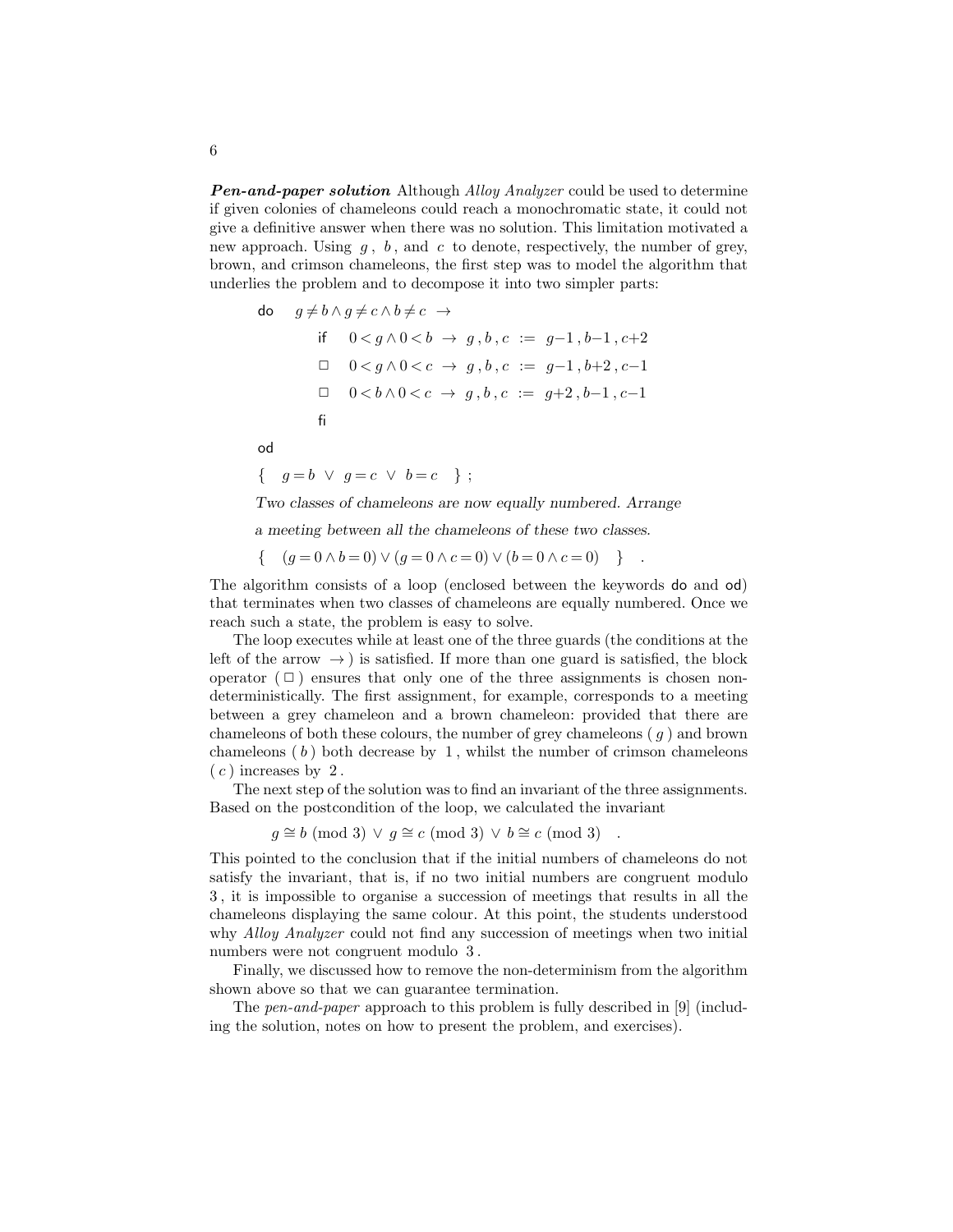**Pen-and-paper solution** Although *Alloy Analyzer* could be used to determine if given colonies of chameleons could reach a monochromatic state, it could not give a definitive answer when there was no solution. This limitation motivated a new approach. Using  $g$ ,  $b$ , and  $c$  to denote, respectively, the number of grey, brown, and crimson chameleons, the first step was to model the algorithm that underlies the problem and to decompose it into two simpler parts:

$$
d\circ g \neq b \land g \neq c \land b \neq c \rightarrow
$$
  
\nif  $0 < g \land 0 < b \rightarrow g, b, c := g-1, b-1, c+2$   
\n $\Box \quad 0 < g \land 0 < c \rightarrow g, b, c := g-1, b+2, c-1$   
\n $\Box \quad 0 < b \land 0 < c \rightarrow g, b, c := g+2, b-1, c-1$   
\nfi

od

{  $q = b \lor q = c \lor b = c$  };

Two classes of chameleons are now equally numbered. Arrange

a meeting between all the chameleons of these two classes.

 $\{ (q = 0 \land b = 0) \lor (q = 0 \land c = 0) \lor (b = 0 \land c = 0) \}$ .

The algorithm consists of a loop (enclosed between the keywords do and od) that terminates when two classes of chameleons are equally numbered. Once we reach such a state, the problem is easy to solve.

The loop executes while at least one of the three guards (the conditions at the left of the arrow  $\rightarrow$  ) is satisfied. If more than one guard is satisfied, the block operator  $(\Box)$  ensures that only one of the three assignments is chosen nondeterministically. The first assignment, for example, corresponds to a meeting between a grey chameleon and a brown chameleon: provided that there are chameleons of both these colours, the number of grey chameleons  $(g)$  and brown chameleons  $(b)$  both decrease by 1, whilst the number of crimson chameleons  $(c)$  increases by 2.

The next step of the solution was to find an invariant of the three assignments. Based on the postcondition of the loop, we calculated the invariant

 $g \cong b \pmod{3} \lor g \cong c \pmod{3} \lor b \cong c \pmod{3}$ 

This pointed to the conclusion that if the initial numbers of chameleons do not satisfy the invariant, that is, if no two initial numbers are congruent modulo 3 , it is impossible to organise a succession of meetings that results in all the chameleons displaying the same colour. At this point, the students understood why *Alloy Analyzer* could not find any succession of meetings when two initial numbers were not congruent modulo 3 .

Finally, we discussed how to remove the non-determinism from the algorithm shown above so that we can guarantee termination.

The pen-and-paper approach to this problem is fully described in [9] (including the solution, notes on how to present the problem, and exercises).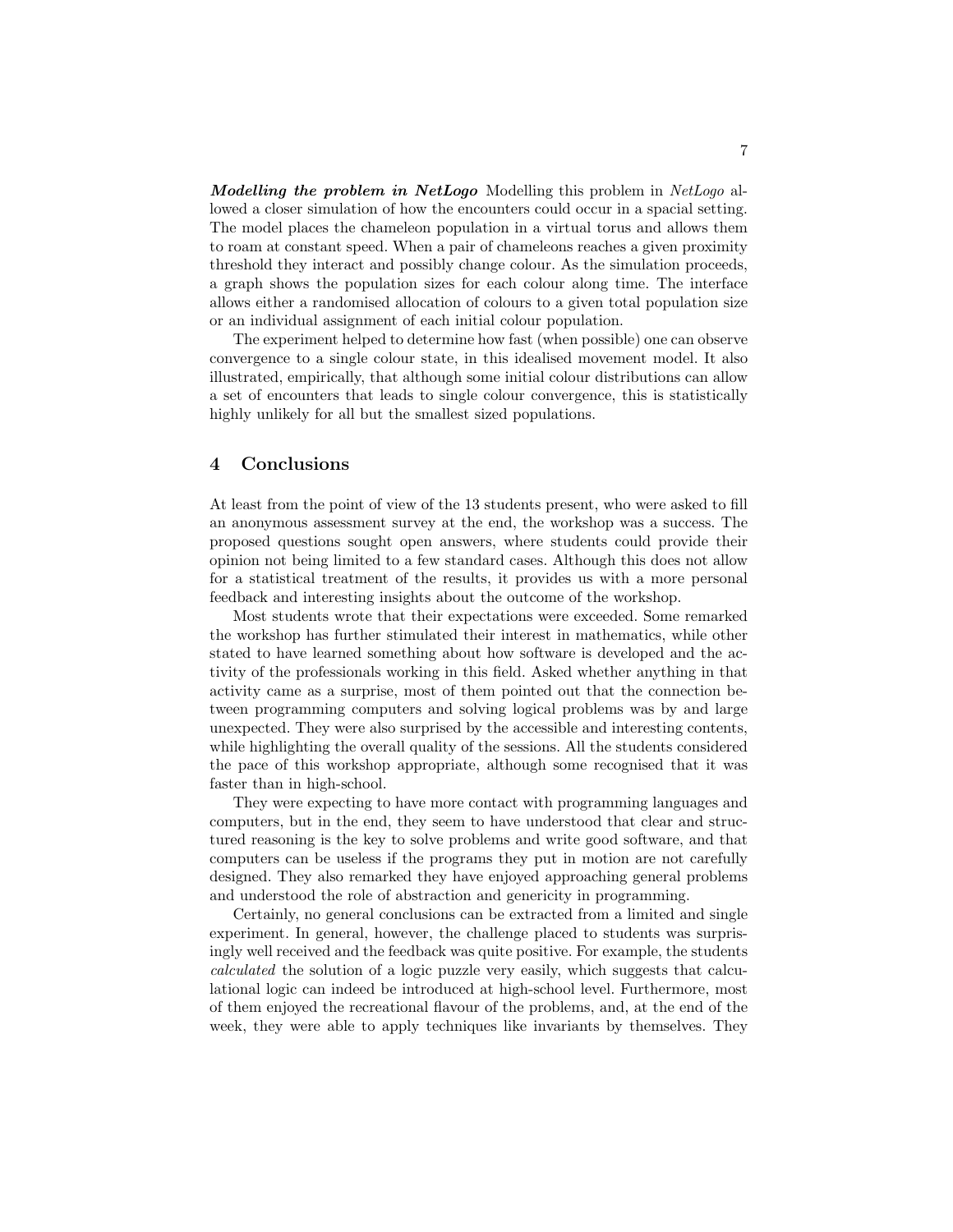Modelling the problem in NetLogo Modelling this problem in NetLogo allowed a closer simulation of how the encounters could occur in a spacial setting. The model places the chameleon population in a virtual torus and allows them to roam at constant speed. When a pair of chameleons reaches a given proximity threshold they interact and possibly change colour. As the simulation proceeds, a graph shows the population sizes for each colour along time. The interface allows either a randomised allocation of colours to a given total population size or an individual assignment of each initial colour population.

The experiment helped to determine how fast (when possible) one can observe convergence to a single colour state, in this idealised movement model. It also illustrated, empirically, that although some initial colour distributions can allow a set of encounters that leads to single colour convergence, this is statistically highly unlikely for all but the smallest sized populations.

#### 4 Conclusions

At least from the point of view of the 13 students present, who were asked to fill an anonymous assessment survey at the end, the workshop was a success. The proposed questions sought open answers, where students could provide their opinion not being limited to a few standard cases. Although this does not allow for a statistical treatment of the results, it provides us with a more personal feedback and interesting insights about the outcome of the workshop.

Most students wrote that their expectations were exceeded. Some remarked the workshop has further stimulated their interest in mathematics, while other stated to have learned something about how software is developed and the activity of the professionals working in this field. Asked whether anything in that activity came as a surprise, most of them pointed out that the connection between programming computers and solving logical problems was by and large unexpected. They were also surprised by the accessible and interesting contents, while highlighting the overall quality of the sessions. All the students considered the pace of this workshop appropriate, although some recognised that it was faster than in high-school.

They were expecting to have more contact with programming languages and computers, but in the end, they seem to have understood that clear and structured reasoning is the key to solve problems and write good software, and that computers can be useless if the programs they put in motion are not carefully designed. They also remarked they have enjoyed approaching general problems and understood the role of abstraction and genericity in programming.

Certainly, no general conclusions can be extracted from a limited and single experiment. In general, however, the challenge placed to students was surprisingly well received and the feedback was quite positive. For example, the students calculated the solution of a logic puzzle very easily, which suggests that calculational logic can indeed be introduced at high-school level. Furthermore, most of them enjoyed the recreational flavour of the problems, and, at the end of the week, they were able to apply techniques like invariants by themselves. They